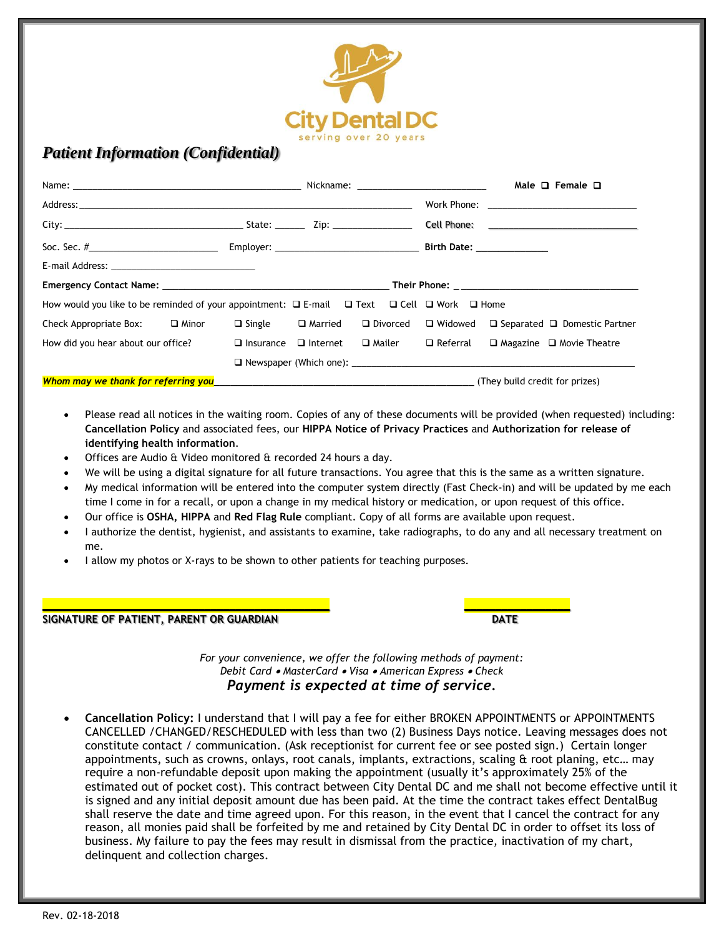

## *Patient Information (Confidential)*

|                                                                                                                                                                                                                                      |  |  |  |            |  |  | Male $\Box$ Female $\Box$                                          |
|--------------------------------------------------------------------------------------------------------------------------------------------------------------------------------------------------------------------------------------|--|--|--|------------|--|--|--------------------------------------------------------------------|
|                                                                                                                                                                                                                                      |  |  |  |            |  |  |                                                                    |
|                                                                                                                                                                                                                                      |  |  |  |            |  |  |                                                                    |
|                                                                                                                                                                                                                                      |  |  |  |            |  |  |                                                                    |
|                                                                                                                                                                                                                                      |  |  |  |            |  |  |                                                                    |
|                                                                                                                                                                                                                                      |  |  |  |            |  |  |                                                                    |
| How would you like to be reminded of your appointment: $\Box$ E-mail $\Box$ Text $\Box$ Cell $\Box$ Work $\Box$ Home                                                                                                                 |  |  |  |            |  |  |                                                                    |
| Check Appropriate Box: $\Box$ Minor $\Box$ Single $\Box$ Married                                                                                                                                                                     |  |  |  | □ Divorced |  |  | $\Box$ Widowed $\Box$ Separated $\Box$ Domestic Partner            |
| How did you hear about our office? $\Box$ Insurance $\Box$ Internet                                                                                                                                                                  |  |  |  |            |  |  | $\Box$ Mailer $\Box$ Referral $\Box$ Magazine $\Box$ Movie Theatre |
|                                                                                                                                                                                                                                      |  |  |  |            |  |  | $\Box$ Newspaper (Which one): $\Box$                               |
| Whom may we thank for referring you <b>Constanting to the constanting of the constanting of the constanting of the constanting of the constanting of the constant of the constant of the constant of the constant of the constan</b> |  |  |  |            |  |  |                                                                    |

- Please read all notices in the waiting room. Copies of any of these documents will be provided (when requested) including: **Cancellation Policy** and associated fees, our **HIPPA Notice of Privacy Practices** and **Authorization for release of identifying health information**.
- Offices are Audio & Video monitored & recorded 24 hours a day.
- We will be using a digital signature for all future transactions. You agree that this is the same as a written signature.
- My medical information will be entered into the computer system directly (Fast Check-in) and will be updated by me each time I come in for a recall, or upon a change in my medical history or medication, or upon request of this office.
- Our office is **OSHA, HIPPA** and **Red Flag Rule** compliant. Copy of all forms are available upon request.

**\_\_\_\_\_\_\_\_\_\_\_\_\_\_\_\_\_\_\_\_\_\_\_\_\_\_\_\_\_\_\_\_\_\_\_\_\_\_\_\_\_\_\_\_\_\_ \_\_\_\_\_\_\_\_\_\_\_\_\_\_\_\_\_**

- I authorize the dentist, hygienist, and assistants to examine, take radiographs, to do any and all necessary treatment on me.
- I allow my photos or X-rays to be shown to other patients for teaching purposes.

## **SIGNATURE OF PATIENT, PARENT OR GUARDIAN DATE**

*For your convenience, we offer the following methods of payment: Debit Card* • *MasterCard* • *Visa* • *American Express* • *Check Payment is expected at time of service.*

• **CancelIation Policy:** I understand that I will pay a fee for either BROKEN APPOINTMENTS or APPOINTMENTS CANCELLED /CHANGED/RESCHEDULED with less than two (2) Business Days notice. Leaving messages does not constitute contact / communication. (Ask receptionist for current fee or see posted sign.) Certain longer appointments, such as crowns, onlays, root canals, implants, extractions, scaling & root planing, etc… may require a non-refundable deposit upon making the appointment (usually it's approximately 25% of the estimated out of pocket cost). This contract between City Dental DC and me shall not become effective until it is signed and any initial deposit amount due has been paid. At the time the contract takes effect DentalBug shall reserve the date and time agreed upon. For this reason, in the event that I cancel the contract for any reason, all monies paid shall be forfeited by me and retained by City Dental DC in order to offset its loss of business. My failure to pay the fees may result in dismissal from the practice, inactivation of my chart, delinquent and collection charges.